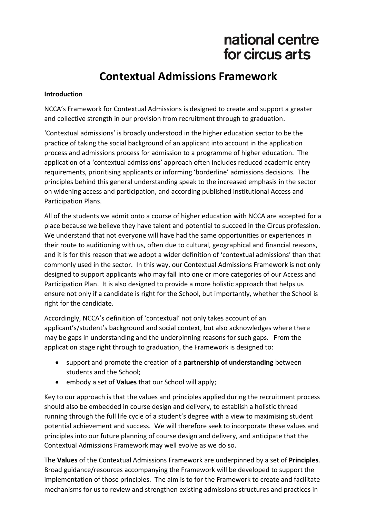# national centre for circus arts

# **Contextual Admissions Framework**

#### **Introduction**

NCCA's Framework for Contextual Admissions is designed to create and support a greater and collective strength in our provision from recruitment through to graduation.

'Contextual admissions' is broadly understood in the higher education sector to be the practice of taking the social background of an applicant into account in the application process and admissions process for admission to a programme of higher education. The application of a 'contextual admissions' approach often includes reduced academic entry requirements, prioritising applicants or informing 'borderline' admissions decisions. The principles behind this general understanding speak to the increased emphasis in the sector on widening access and participation, and according published institutional Access and Participation Plans.

All of the students we admit onto a course of higher education with NCCA are accepted for a place because we believe they have talent and potential to succeed in the Circus profession. We understand that not everyone will have had the same opportunities or experiences in their route to auditioning with us, often due to cultural, geographical and financial reasons, and it is for this reason that we adopt a wider definition of 'contextual admissions' than that commonly used in the sector. In this way, our Contextual Admissions Framework is not only designed to support applicants who may fall into one or more categories of our Access and Participation Plan. It is also designed to provide a more holistic approach that helps us ensure not only if a candidate is right for the School, but importantly, whether the School is right for the candidate.

Accordingly, NCCA's definition of 'contextual' not only takes account of an applicant's/student's background and social context, but also acknowledges where there may be gaps in understanding and the underpinning reasons for such gaps. From the application stage right through to graduation, the Framework is designed to:

- support and promote the creation of a **partnership of understanding** between students and the School;
- embody a set of **Values** that our School will apply;

Key to our approach is that the values and principles applied during the recruitment process should also be embedded in course design and delivery, to establish a holistic thread running through the full life cycle of a student's degree with a view to maximising student potential achievement and success. We will therefore seek to incorporate these values and principles into our future planning of course design and delivery, and anticipate that the Contextual Admissions Framework may well evolve as we do so.

The **Values** of the Contextual Admissions Framework are underpinned by a set of **Principles**. Broad guidance/resources accompanying the Framework will be developed to support the implementation of those principles. The aim is to for the Framework to create and facilitate mechanisms for us to review and strengthen existing admissions structures and practices in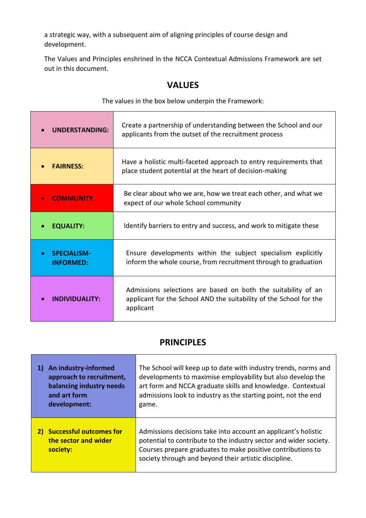a strategic way, with a subsequent aim of aligning principles of course design and development.

T

The Values and Principles enshrined in the NCCA Contextual Admissions Framework are set out in this document.

## **VALUES**

The values in the box below underpin the Framework:

٦

| <b>UNDERSTANDING:</b>                               | Create a partnership of understanding between the School and our<br>applicants from the outset of the recruitment process                        |
|-----------------------------------------------------|--------------------------------------------------------------------------------------------------------------------------------------------------|
| <b>FAIRNESS:</b>                                    | Have a holistic multi-faceted approach to entry requirements that<br>place student potential at the heart of decision-making                     |
| <b>COMMUNITY</b><br>$\bullet$                       | Be clear about who we are, how we treat each other, and what we<br>expect of our whole School community                                          |
| <b>EQUALITY:</b>                                    | Identify barriers to entry and success, and work to mitigate these                                                                               |
| <b>SPECIALISM-</b><br>$\bullet$<br><b>INFORMED:</b> | Ensure developments within the subject specialism explicitly<br>inform the whole course, from recruitment through to graduation                  |
| INDIVIDUALITY:                                      | Admissions selections are based on both the suitability of an<br>applicant for the School AND the suitability of the School for the<br>applicant |

## **PRINCIPLES**

| An industry-informed                                           | The School will keep up to date with industry trends, norms and                                                                                                                                                                                             |
|----------------------------------------------------------------|-------------------------------------------------------------------------------------------------------------------------------------------------------------------------------------------------------------------------------------------------------------|
| approach to recruitment,                                       | developments to maximise employability but also develop the                                                                                                                                                                                                 |
| balancing industry needs                                       | art form and NCCA graduate skills and knowledge. Contextual                                                                                                                                                                                                 |
| and art form                                                   | admissions look to industry as the starting point, not the end                                                                                                                                                                                              |
| development:                                                   | game.                                                                                                                                                                                                                                                       |
| 2) Successful outcomes for<br>the sector and wider<br>society: | Admissions decisions take into account an applicant's holistic<br>potential to contribute to the industry sector and wider society.<br>Courses prepare graduates to make positive contributions to<br>society through and beyond their artistic discipline. |